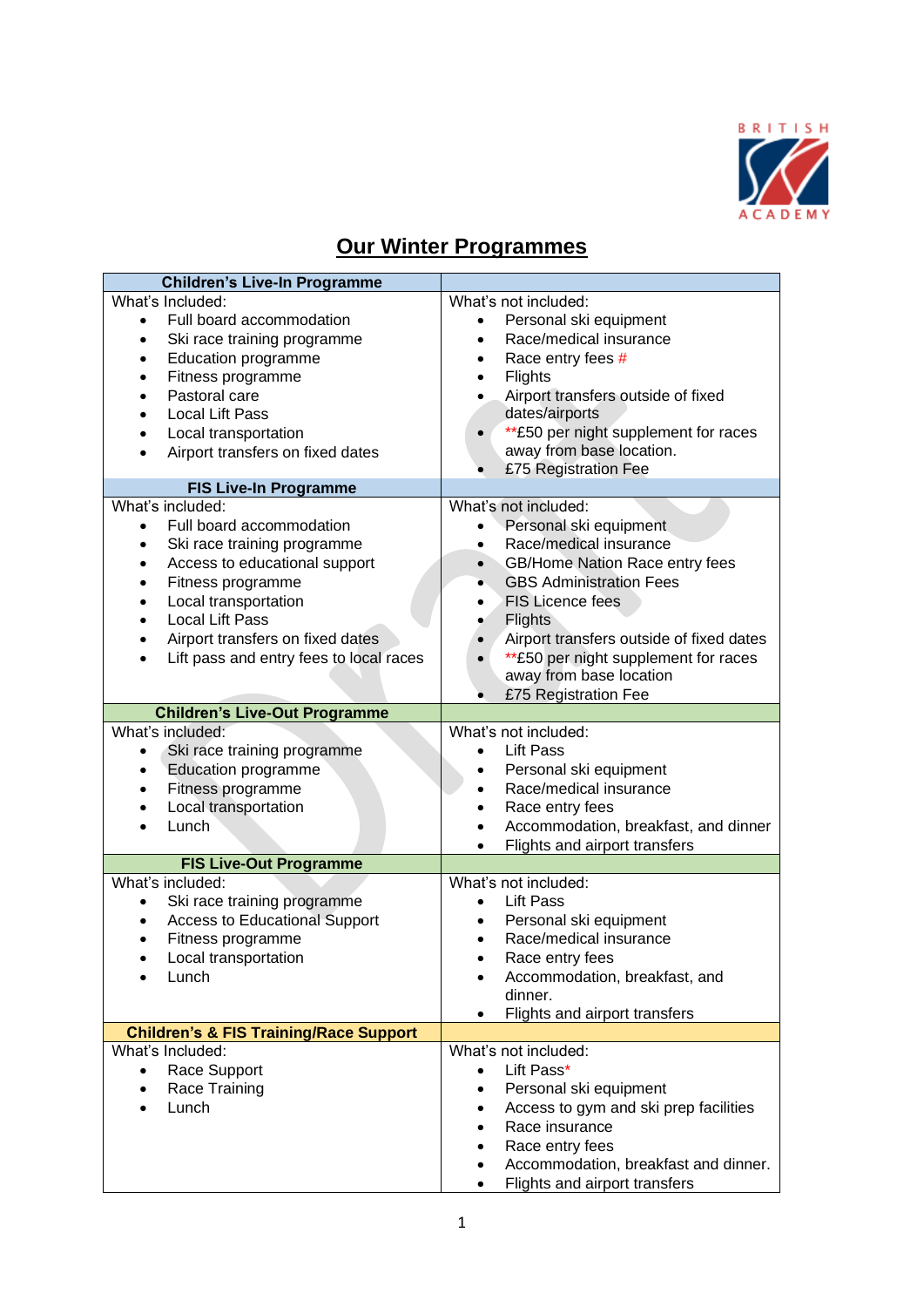

### **Our Winter Programmes**

| <b>Children's Live-In Programme</b>                  |                                                   |
|------------------------------------------------------|---------------------------------------------------|
| What's Included:                                     | What's not included:                              |
| Full board accommodation<br>$\bullet$                | Personal ski equipment<br>$\bullet$               |
| Ski race training programme                          | Race/medical insurance<br>$\bullet$               |
| <b>Education programme</b>                           | Race entry fees #<br>$\bullet$                    |
| Fitness programme                                    | Flights<br>$\bullet$                              |
| Pastoral care                                        | Airport transfers outside of fixed<br>$\bullet$   |
| <b>Local Lift Pass</b>                               | dates/airports                                    |
| Local transportation                                 | **£50 per night supplement for races<br>$\bullet$ |
| Airport transfers on fixed dates                     | away from base location.                          |
|                                                      | £75 Registration Fee                              |
| <b>FIS Live-In Programme</b>                         |                                                   |
| What's included:                                     | What's not included:                              |
| Full board accommodation<br>$\bullet$                | Personal ski equipment<br>$\bullet$               |
| Ski race training programme                          | Race/medical insurance<br>$\bullet$               |
| Access to educational support                        | GB/Home Nation Race entry fees<br>$\bullet$       |
| Fitness programme                                    | <b>GBS Administration Fees</b><br>$\bullet$       |
| Local transportation                                 | <b>FIS Licence fees</b><br>$\bullet$              |
| <b>Local Lift Pass</b>                               | <b>Flights</b>                                    |
| Airport transfers on fixed dates                     | Airport transfers outside of fixed dates          |
| Lift pass and entry fees to local races<br>$\bullet$ | **£50 per night supplement for races              |
|                                                      | away from base location                           |
|                                                      | £75 Registration Fee                              |
| <b>Children's Live-Out Programme</b>                 |                                                   |
| What's included:                                     | What's not included:                              |
| Ski race training programme<br>$\bullet$             | <b>Lift Pass</b><br>$\bullet$                     |
| <b>Education programme</b><br>٠                      | Personal ski equipment<br>$\bullet$               |
| Fitness programme<br>$\bullet$                       | Race/medical insurance<br>$\bullet$               |
| Local transportation<br>$\bullet$                    | Race entry fees<br>$\bullet$                      |
| Lunch                                                | Accommodation, breakfast, and dinner              |
|                                                      | Flights and airport transfers<br>$\bullet$        |
| <b>FIS Live-Out Programme</b>                        |                                                   |
| What's included:                                     | What's not included:                              |
| Ski race training programme<br>$\bullet$             | <b>Lift Pass</b><br>$\bullet$                     |
| <b>Access to Educational Support</b>                 | Personal ski equipment<br>$\bullet$               |
| Fitness programme                                    | Race/medical insurance                            |
| Local transportation                                 | Race entry fees                                   |
| Lunch                                                | Accommodation, breakfast, and                     |
|                                                      | dinner.                                           |
|                                                      | Flights and airport transfers                     |
| <b>Children's &amp; FIS Training/Race Support</b>    |                                                   |
| What's Included:                                     | What's not included:                              |
| Race Support                                         | Lift Pass*                                        |
| Race Training                                        | Personal ski equipment                            |
| Lunch                                                | Access to gym and ski prep facilities             |
|                                                      | Race insurance                                    |
|                                                      | Race entry fees                                   |
|                                                      | Accommodation, breakfast and dinner.              |
|                                                      | Flights and airport transfers                     |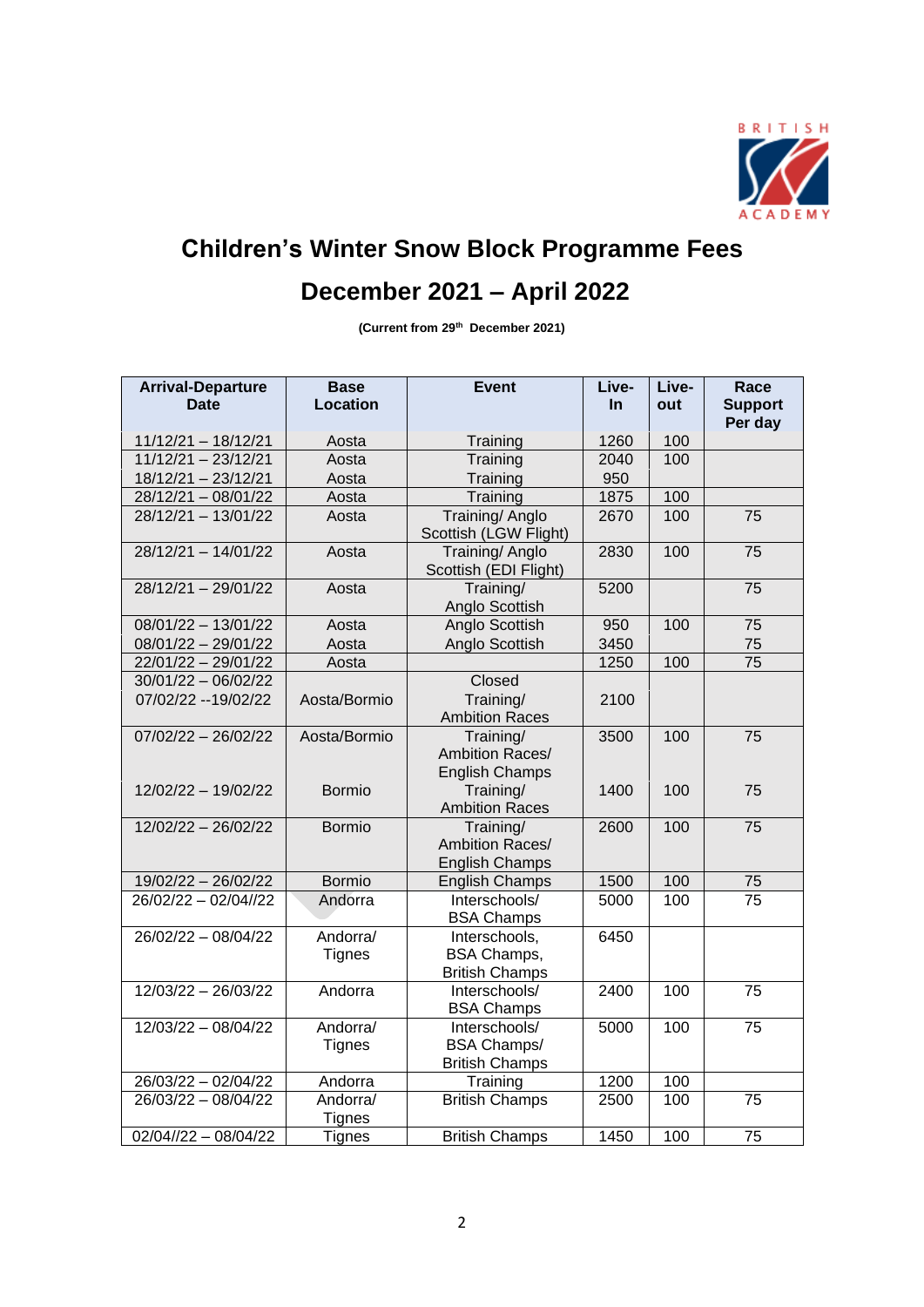

# **Children's Winter Snow Block Programme Fees**

## **December 2021 – April 2022**

**(Current from 29th December 2021)**

| <b>Arrival-Departure</b><br><b>Date</b> | <b>Base</b><br><b>Location</b> | <b>Event</b>                                                 | Live-<br><b>In</b> | Live-<br>out | Race<br><b>Support</b><br>Per day |
|-----------------------------------------|--------------------------------|--------------------------------------------------------------|--------------------|--------------|-----------------------------------|
| $11/12/21 - 18/12/21$                   | Aosta                          | Training                                                     | 1260               | 100          |                                   |
| 11/12/21 - 23/12/21                     | Aosta                          | Training                                                     | 2040               | 100          |                                   |
| 18/12/21 - 23/12/21                     | Aosta                          | Training                                                     | 950                |              |                                   |
| 28/12/21 - 08/01/22                     | Aosta                          | Training                                                     | 1875               | 100          |                                   |
| 28/12/21 - 13/01/22                     | Aosta                          | Training/ Anglo<br>Scottish (LGW Flight)                     | 2670               | 100          | 75                                |
| $28/12/21 - 14/01/22$                   | Aosta                          | Training/ Anglo<br>Scottish (EDI Flight)                     | 2830               | 100          | 75                                |
| $28/12/21 - 29/01/22$                   | Aosta                          | Training/<br>Anglo Scottish                                  | 5200               |              | 75                                |
| 08/01/22 - 13/01/22                     | Aosta                          | Anglo Scottish                                               | 950                | 100          | 75                                |
| $08/01/22 - 29/01/22$                   | Aosta                          | Anglo Scottish                                               | 3450               |              | 75                                |
| 22/01/22 - 29/01/22                     | Aosta                          |                                                              | 1250               | 100          | 75                                |
| $30/01/22 - 06/02/22$                   |                                | Closed                                                       |                    |              |                                   |
| 07/02/22 -- 19/02/22                    | Aosta/Bormio                   | $\overline{\text{Training}}$<br><b>Ambition Races</b>        | 2100               |              |                                   |
| $07/02/22 - 26/02/22$                   | Aosta/Bormio                   | Training/<br>Ambition Races/<br><b>English Champs</b>        | 3500               | 100          | 75                                |
| 12/02/22 - 19/02/22                     | <b>Bormio</b>                  | Training/<br><b>Ambition Races</b>                           | 1400               | 100          | 75                                |
| 12/02/22 - 26/02/22                     | <b>Bormio</b>                  | Training/<br><b>Ambition Races/</b><br><b>English Champs</b> | 2600               | 100          | 75                                |
| 19/02/22 - 26/02/22                     | <b>Bormio</b>                  | <b>English Champs</b>                                        | 1500               | 100          | 75                                |
| 26/02/22 - 02/04//22                    | Andorra                        | Interschools/<br><b>BSA Champs</b>                           | 5000               | 100          | $\overline{75}$                   |
| 26/02/22 - 08/04/22                     | Andorra/<br><b>Tignes</b>      | Interschools,<br><b>BSA Champs,</b><br><b>British Champs</b> | 6450               |              |                                   |
| 12/03/22 - 26/03/22                     | Andorra                        | Interschools/<br><b>BSA Champs</b>                           | 2400               | 100          | 75                                |
| 12/03/22 - 08/04/22                     | Andorra/<br><b>Tignes</b>      | Interschools/<br><b>BSA Champs/</b><br><b>British Champs</b> | 5000               | 100          | 75                                |
| 26/03/22 - 02/04/22                     | Andorra                        | Training                                                     | 1200               | 100          |                                   |
| 26/03/22 - 08/04/22                     | Andorra/<br><b>Tignes</b>      | <b>British Champs</b>                                        | 2500               | 100          | 75                                |
| $02/04//22 - 08/04/22$                  | <b>Tignes</b>                  | <b>British Champs</b>                                        | 1450               | 100          | 75                                |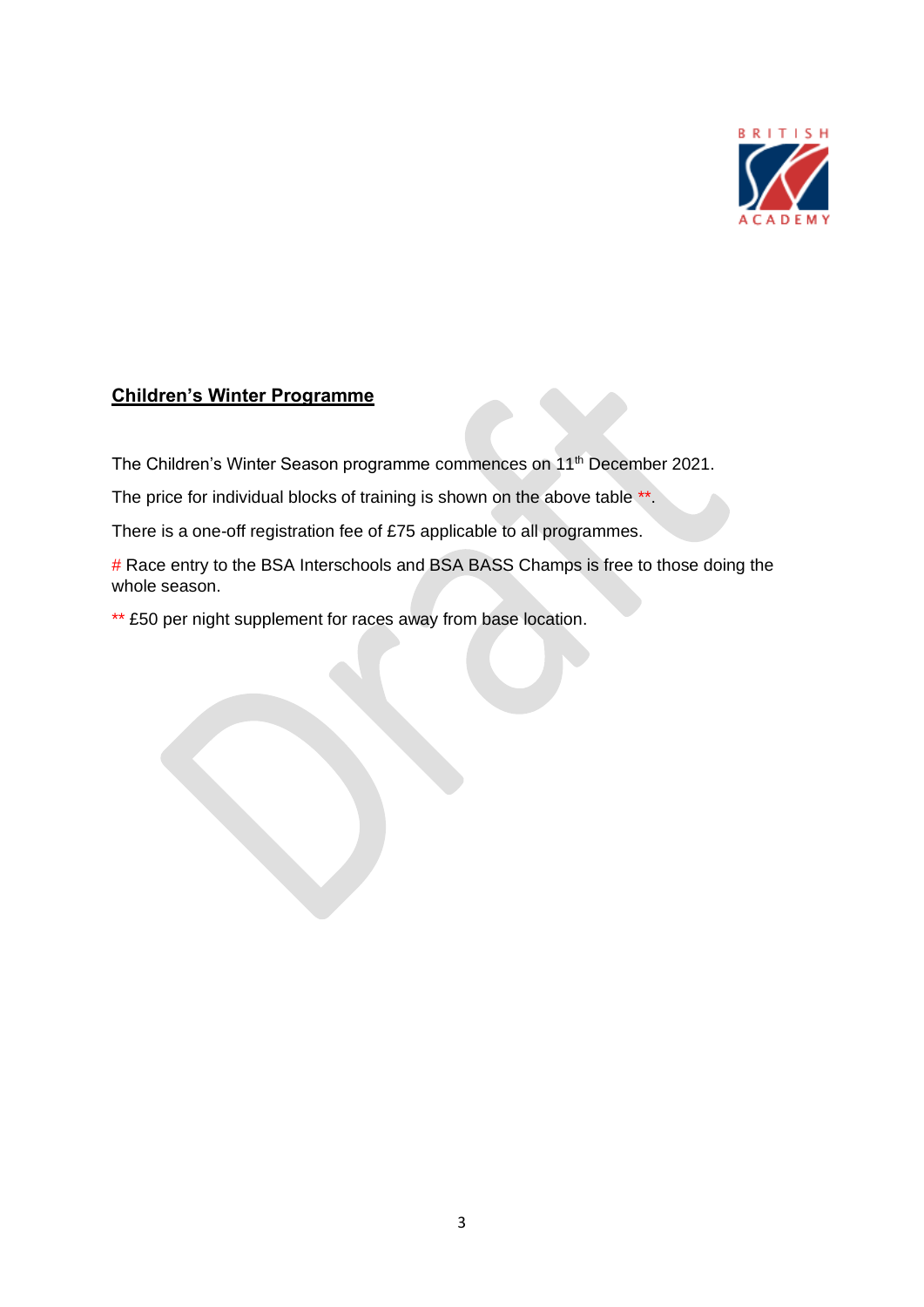

### **Children's Winter Programme**

The Children's Winter Season programme commences on 11<sup>th</sup> December 2021.

The price for individual blocks of training is shown on the above table \*\*.

There is a one-off registration fee of £75 applicable to all programmes.

# Race entry to the BSA Interschools and BSA BASS Champs is free to those doing the whole season.

\*\* £50 per night supplement for races away from base location.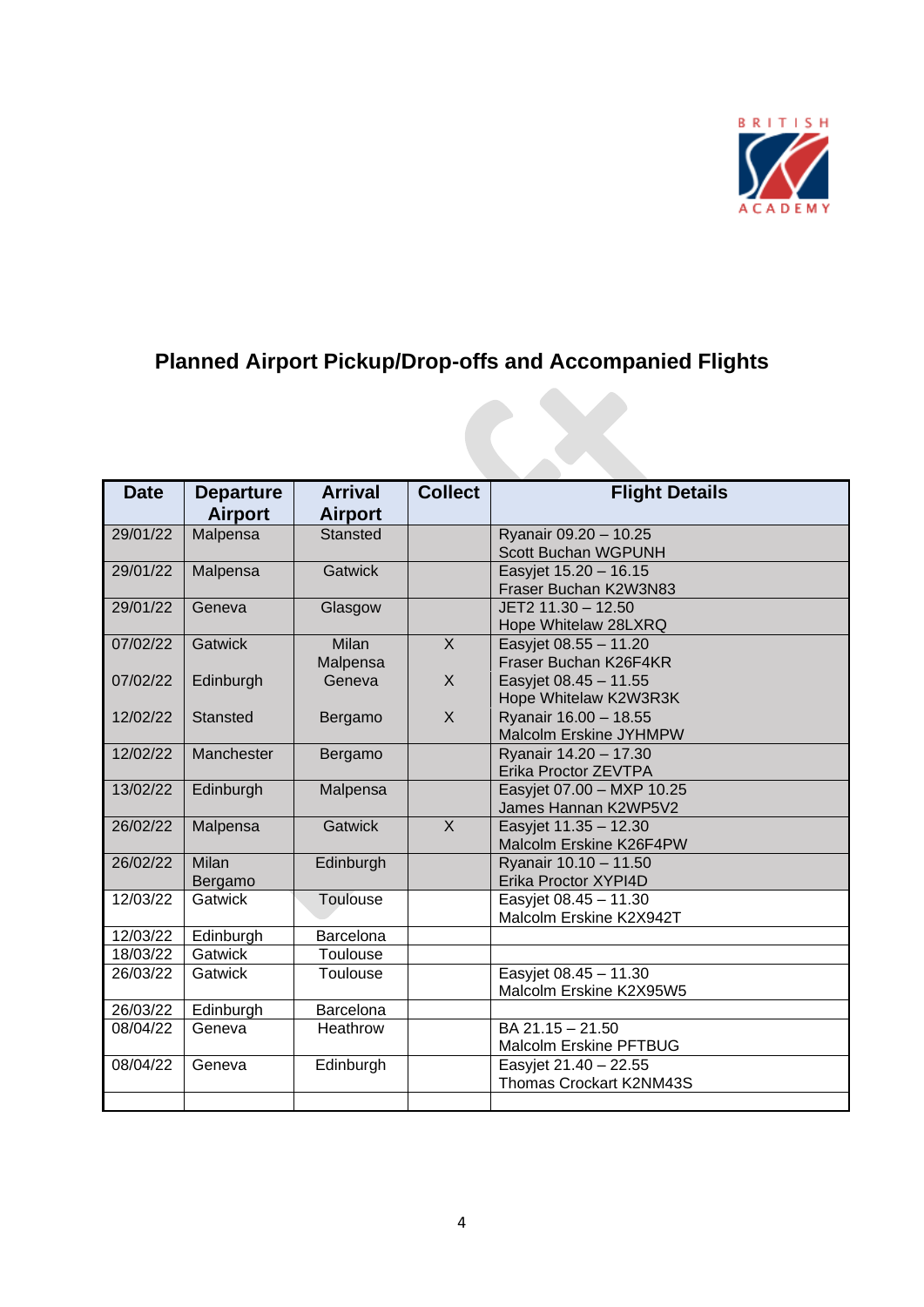

## **Planned Airport Pickup/Drop-offs and Accompanied Flights**

| <b>Date</b> | <b>Departure</b><br><b>Airport</b> | <b>Arrival</b><br><b>Airport</b> | <b>Collect</b> | <b>Flight Details</b>                             |
|-------------|------------------------------------|----------------------------------|----------------|---------------------------------------------------|
| 29/01/22    | Malpensa                           | <b>Stansted</b>                  |                | Ryanair 09.20 - 10.25<br>Scott Buchan WGPUNH      |
| 29/01/22    | Malpensa                           | <b>Gatwick</b>                   |                | Easyjet 15.20 - 16.15<br>Fraser Buchan K2W3N83    |
| 29/01/22    | Geneva                             | Glasgow                          |                | JET2 11.30 - 12.50<br>Hope Whitelaw 28LXRQ        |
| 07/02/22    | Gatwick                            | Milan<br>Malpensa                | X              | Easyjet 08.55 - 11.20<br>Fraser Buchan K26F4KR    |
| 07/02/22    | Edinburgh                          | Geneva                           | $\mathsf{X}$   | Easyjet 08.45 - 11.55<br>Hope Whitelaw K2W3R3K    |
| 12/02/22    | <b>Stansted</b>                    | Bergamo                          | X              | Ryanair 16.00 - 18.55<br>Malcolm Erskine JYHMPW   |
| 12/02/22    | Manchester                         | Bergamo                          |                | Ryanair 14.20 - 17.30<br>Erika Proctor ZEVTPA     |
| 13/02/22    | Edinburgh                          | Malpensa                         |                | Easyjet 07.00 - MXP 10.25<br>James Hannan K2WP5V2 |
| 26/02/22    | Malpensa                           | <b>Gatwick</b>                   | X              | Easyjet 11.35 - 12.30<br>Malcolm Erskine K26F4PW  |
| 26/02/22    | <b>Milan</b><br>Bergamo            | Edinburgh                        |                | Ryanair 10.10 - 11.50<br>Erika Proctor XYPI4D     |
| 12/03/22    | Gatwick                            | <b>Toulouse</b>                  |                | Easyjet 08.45 - 11.30<br>Malcolm Erskine K2X942T  |
| 12/03/22    | Edinburgh                          | <b>Barcelona</b>                 |                |                                                   |
| 18/03/22    | Gatwick                            | Toulouse                         |                |                                                   |
| 26/03/22    | Gatwick                            | <b>Toulouse</b>                  |                | Easyjet 08.45 - 11.30<br>Malcolm Erskine K2X95W5  |
| 26/03/22    | Edinburgh                          | Barcelona                        |                |                                                   |
| 08/04/22    | Geneva                             | Heathrow                         |                | BA 21.15 - 21.50<br><b>Malcolm Erskine PFTBUG</b> |
| 08/04/22    | Geneva                             | Edinburgh                        |                | Easyjet 21.40 - 22.55<br>Thomas Crockart K2NM43S  |
|             |                                    |                                  |                |                                                   |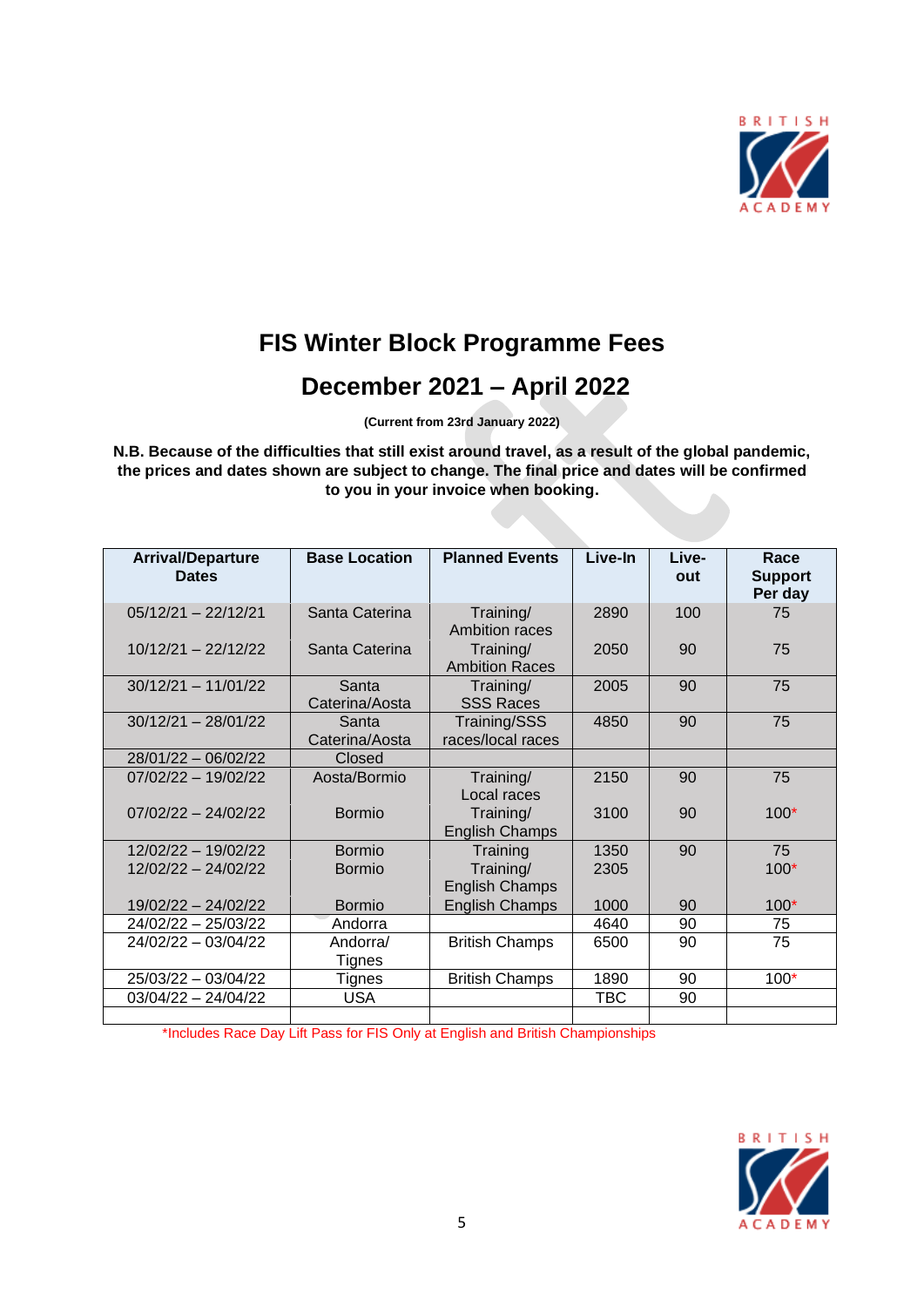

# **FIS Winter Block Programme Fees**

## **December 2021 – April 2022**

**(Current from 23rd January 2022)**

**N.B. Because of the difficulties that still exist around travel, as a result of the global pandemic, the prices and dates shown are subject to change. The final price and dates will be confirmed to you in your invoice when booking.**

| <b>Arrival/Departure</b><br><b>Dates</b> | <b>Base Location</b>    | <b>Planned Events</b>              | Live-In | Live-<br>out | Race<br><b>Support</b><br>Per day |
|------------------------------------------|-------------------------|------------------------------------|---------|--------------|-----------------------------------|
| $05/12/21 - 22/12/21$                    | Santa Caterina          | Training/<br>Ambition races        | 2890    | 100          | 75                                |
| $10/12/21 - 22/12/22$                    | Santa Caterina          | Training/<br><b>Ambition Races</b> | 2050    | 90           | 75                                |
| $30/12/21 - 11/01/22$                    | Santa<br>Caterina/Aosta | Training/<br><b>SSS Races</b>      | 2005    | 90           | 75                                |
| $30/12/21 - 28/01/22$                    | Santa<br>Caterina/Aosta | Training/SSS<br>races/local races  | 4850    | 90           | 75                                |
| $28/01/22 - 06/02/22$                    | Closed                  |                                    |         |              |                                   |
| $07/02/22 - 19/02/22$                    | Aosta/Bormio            | Training/<br>Local races           | 2150    | 90           | 75                                |
| $07/02/22 - 24/02/22$                    | Bormio                  | Training/<br><b>English Champs</b> | 3100    | 90           | $100*$                            |
| $12/02/22 - 19/02/22$                    | Bormio                  | Training                           | 1350    | 90           | 75                                |
| 12/02/22 - 24/02/22                      | Bormio                  | Training/<br><b>English Champs</b> | 2305    |              | $100*$                            |
| 19/02/22 - 24/02/22                      | <b>Bormio</b>           | English Champs                     | 1000    | 90           | $100*$                            |
| 24/02/22 - 25/03/22                      | Andorra                 |                                    | 4640    | 90           | 75                                |
| 24/02/22 - 03/04/22                      | Andorra/<br>Tignes      | <b>British Champs</b>              | 6500    | 90           | 75                                |
| 25/03/22 - 03/04/22                      | Tignes                  | <b>British Champs</b>              | 1890    | 90           | $100*$                            |
| $03/04/22 - 24/04/22$                    | <b>USA</b>              |                                    | TBC     | 90           |                                   |
|                                          |                         |                                    |         |              |                                   |

\*Includes Race Day Lift Pass for FIS Only at English and British Championships

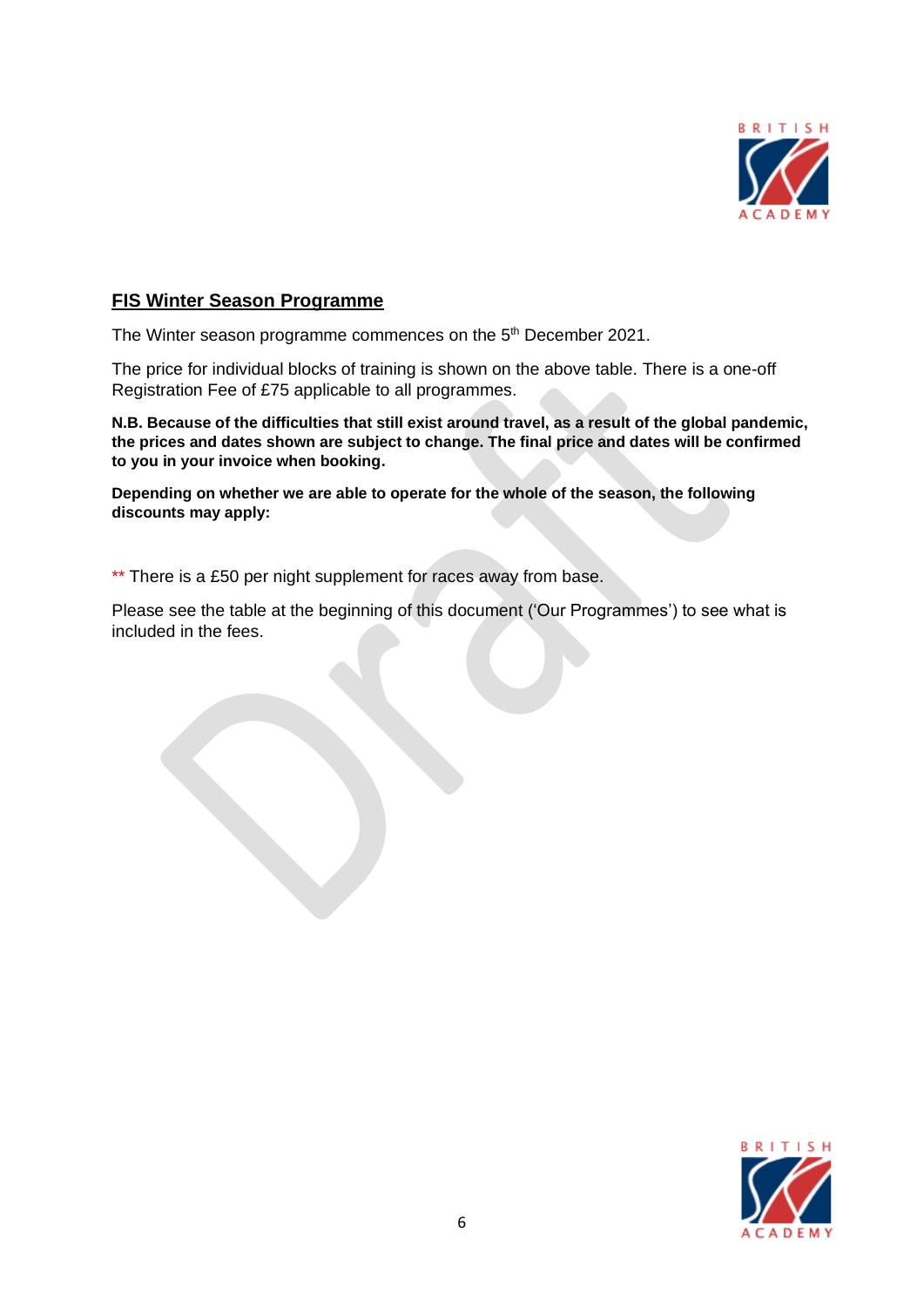

#### **FIS Winter Season Programme**

The Winter season programme commences on the 5<sup>th</sup> December 2021.

The price for individual blocks of training is shown on the above table. There is a one-off Registration Fee of £75 applicable to all programmes.

**N.B. Because of the difficulties that still exist around travel, as a result of the global pandemic, the prices and dates shown are subject to change. The final price and dates will be confirmed to you in your invoice when booking.** 

**Depending on whether we are able to operate for the whole of the season, the following discounts may apply:**

\*\* There is a £50 per night supplement for races away from base.

Please see the table at the beginning of this document ('Our Programmes') to see what is included in the fees.

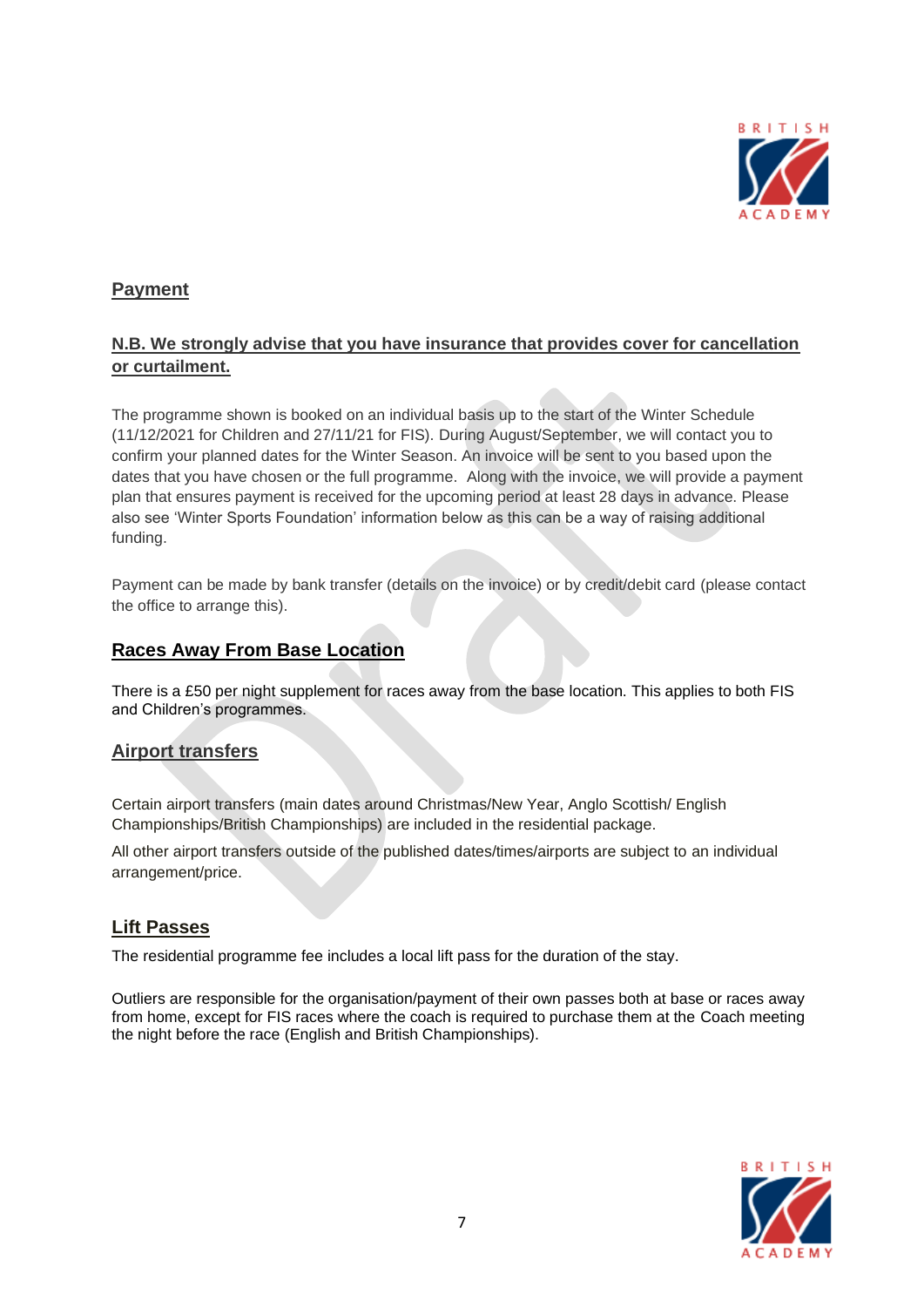

### **Payment**

#### **N.B. We strongly advise that you have insurance that provides cover for cancellation or curtailment.**

The programme shown is booked on an individual basis up to the start of the Winter Schedule (11/12/2021 for Children and 27/11/21 for FIS). During August/September, we will contact you to confirm your planned dates for the Winter Season. An invoice will be sent to you based upon the dates that you have chosen or the full programme. Along with the invoice, we will provide a payment plan that ensures payment is received for the upcoming period at least 28 days in advance. Please also see 'Winter Sports Foundation' information below as this can be a way of raising additional funding.

Payment can be made by bank transfer (details on the invoice) or by credit/debit card (please contact the office to arrange this).

#### **Races Away From Base Location**

There is a £50 per night supplement for races away from the base location. This applies to both FIS and Children's programmes.

#### **Airport transfers**

Certain airport transfers (main dates around Christmas/New Year, Anglo Scottish/ English Championships/British Championships) are included in the residential package.

All other airport transfers outside of the published dates/times/airports are subject to an individual arrangement/price.

#### **Lift Passes**

The residential programme fee includes a local lift pass for the duration of the stay.

Outliers are responsible for the organisation/payment of their own passes both at base or races away from home, except for FIS races where the coach is required to purchase them at the Coach meeting the night before the race (English and British Championships).

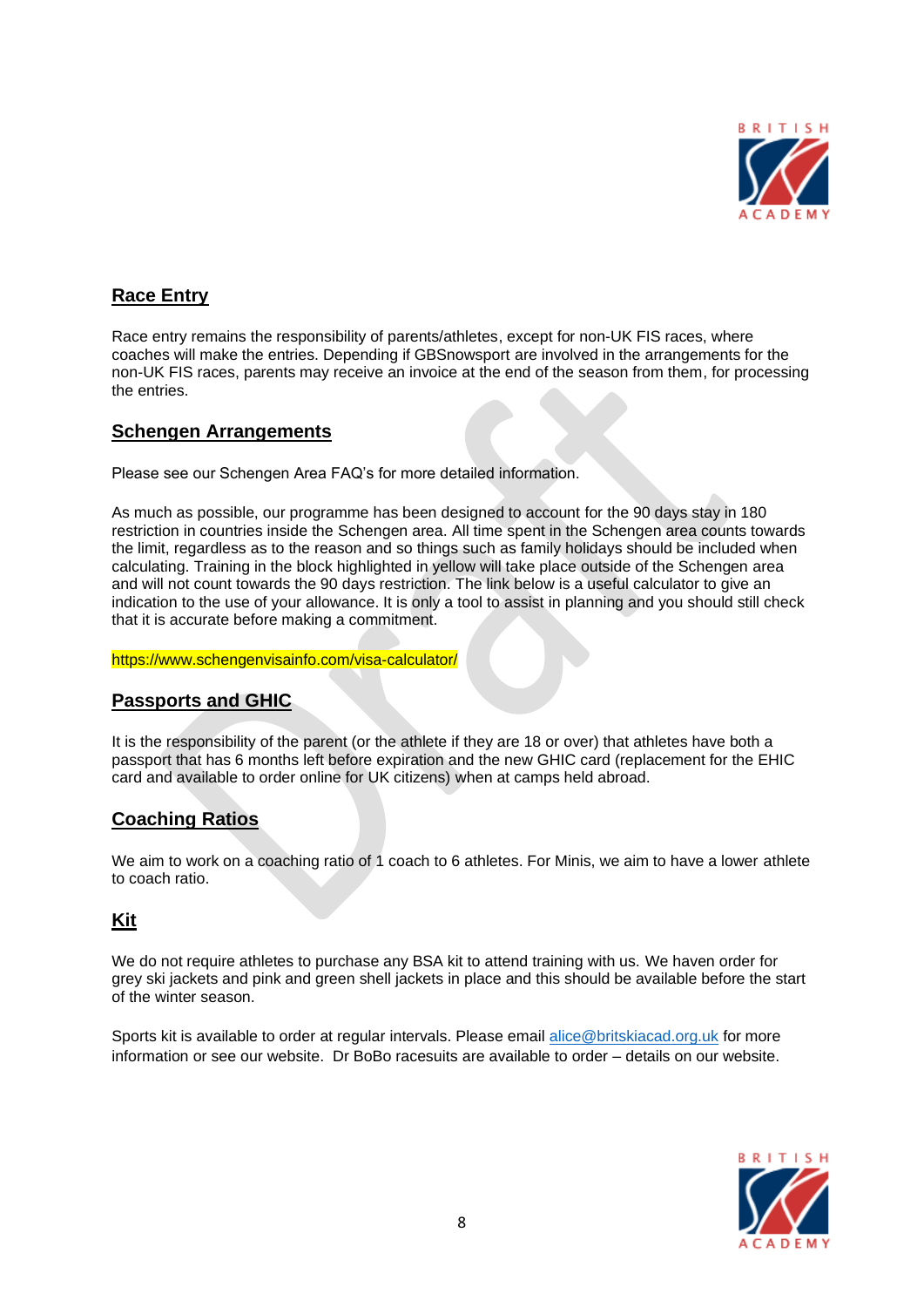

#### **Race Entry**

Race entry remains the responsibility of parents/athletes, except for non-UK FIS races, where coaches will make the entries. Depending if GBSnowsport are involved in the arrangements for the non-UK FIS races, parents may receive an invoice at the end of the season from them, for processing the entries.

#### **Schengen Arrangements**

Please see our Schengen Area FAQ's for more detailed information.

As much as possible, our programme has been designed to account for the 90 days stay in 180 restriction in countries inside the Schengen area. All time spent in the Schengen area counts towards the limit, regardless as to the reason and so things such as family holidays should be included when calculating. Training in the block highlighted in yellow will take place outside of the Schengen area and will not count towards the 90 days restriction. The link below is a useful calculator to give an indication to the use of your allowance. It is only a tool to assist in planning and you should still check that it is accurate before making a commitment.

#### https://www.schengenvisainfo.com/visa-calculator/

#### **Passports and GHIC**

It is the responsibility of the parent (or the athlete if they are 18 or over) that athletes have both a passport that has 6 months left before expiration and the new GHIC card (replacement for the EHIC card and available to order online for UK citizens) when at camps held abroad.

#### **Coaching Ratios**

We aim to work on a coaching ratio of 1 coach to 6 athletes. For Minis, we aim to have a lower athlete to coach ratio.

#### **Kit**

We do not require athletes to purchase any BSA kit to attend training with us. We haven order for grey ski jackets and pink and green shell jackets in place and this should be available before the start of the winter season.

Sports kit is available to order at regular intervals. Please email [alice@britskiacad.org.uk](mailto:alice@britskiacad.org.uk) for more information or see our website. Dr BoBo racesuits are available to order – details on our website.

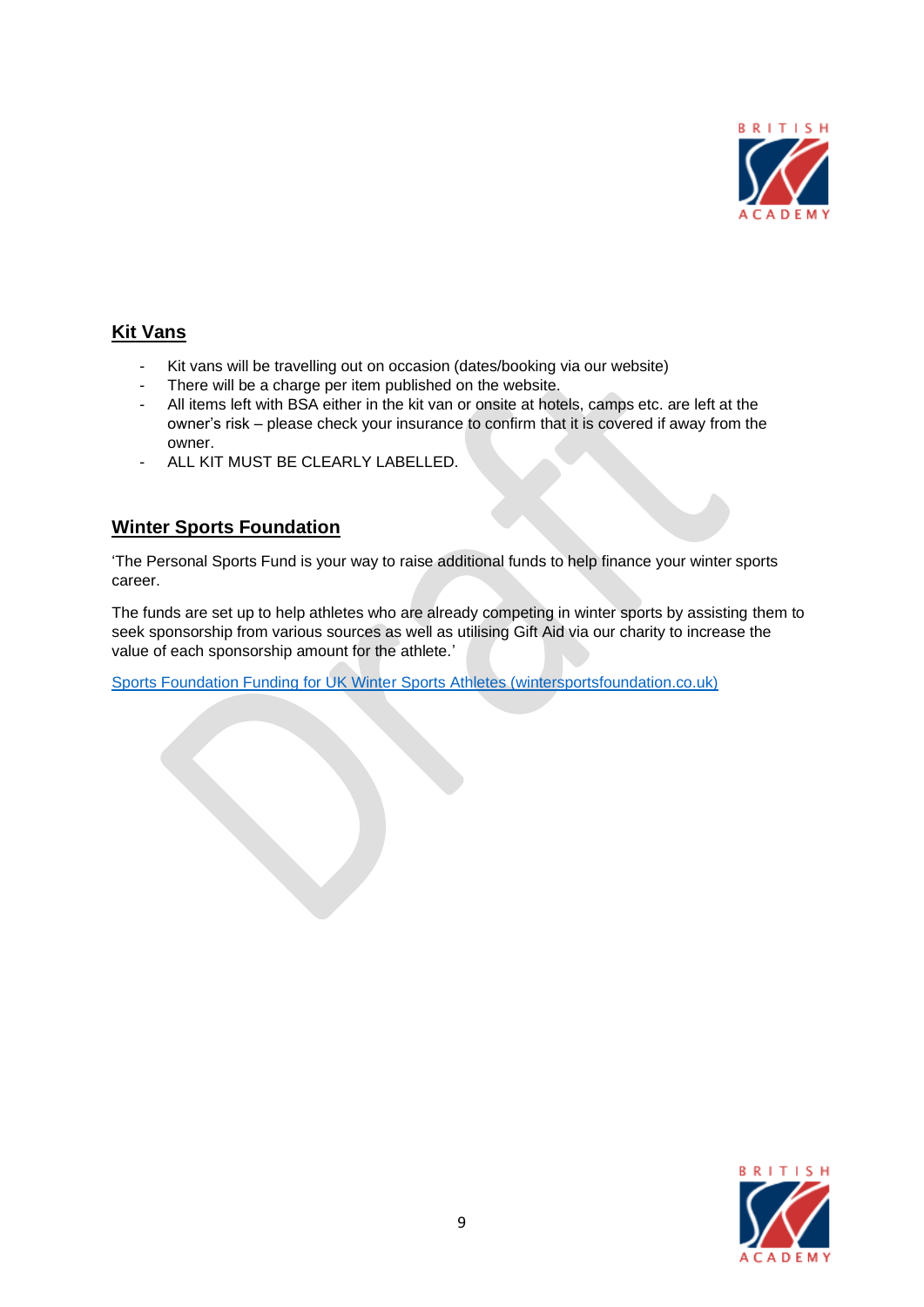

#### **Kit Vans**

- Kit vans will be travelling out on occasion (dates/booking via our website)
- There will be a charge per item published on the website.
- All items left with BSA either in the kit van or onsite at hotels, camps etc. are left at the owner's risk – please check your insurance to confirm that it is covered if away from the owner.
- ALL KIT MUST BE CLEARLY LABELLED.

#### **Winter Sports Foundation**

'The Personal Sports Fund is your way to raise additional funds to help finance your winter sports career.

The funds are set up to help athletes who are already competing in winter sports by assisting them to seek sponsorship from various sources as well as utilising Gift Aid via our charity to increase the value of each sponsorship amount for the athlete.'

[Sports Foundation Funding for UK Winter Sports Athletes \(wintersportsfoundation.co.uk\)](https://www.wintersportsfoundation.co.uk/)